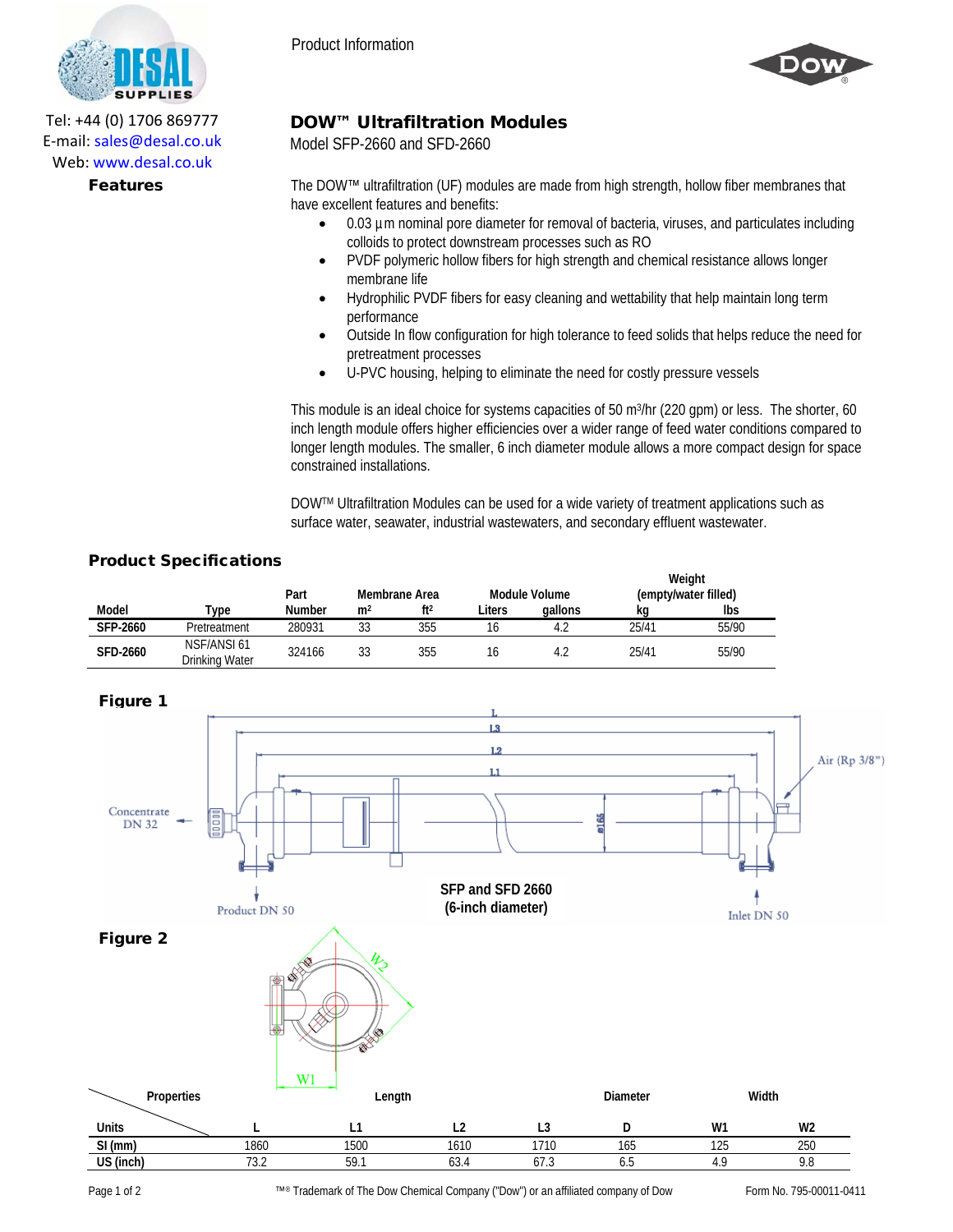

DOW™ Ultrafiltration Modules

Model SFP-2660 and SFD-2660

Web: www.desal.co.uk

Tel: +44 (0) 1706 869777 E‐mail: sales@desal.co.uk

> Features The DOW™ ultrafiltration (UF) modules are made from high strength, hollow fiber membranes that have excellent features and benefits:

- 0.03 µm nominal pore diameter for removal of bacteria, viruses, and particulates including colloids to protect downstream processes such as RO
- PVDF polymeric hollow fibers for high strength and chemical resistance allows longer membrane life
- Hydrophilic PVDF fibers for easy cleaning and wettability that help maintain long term performance
- Outside In flow configuration for high tolerance to feed solids that helps reduce the need for pretreatment processes
- U-PVC housing, helping to eliminate the need for costly pressure vessels

This module is an ideal choice for systems capacities of 50 m<sup>3</sup>/hr (220 gpm) or less. The shorter, 60 inch length module offers higher efficiencies over a wider range of feed water conditions compared to longer length modules. The smaller, 6 inch diameter module allows a more compact design for space constrained installations.

DOWTM Ultrafiltration Modules can be used for a wide variety of treatment applications such as surface water, seawater, industrial wastewaters, and secondary effluent wastewater.

## Product Specifications

|                 |                               | Part   | Module Volume<br>Membrane Area |                 | Weight<br>(empty/water filled) |         |       |       |
|-----------------|-------------------------------|--------|--------------------------------|-----------------|--------------------------------|---------|-------|-------|
| Model           | Type                          | Number | m <sup>2</sup>                 | ft <sup>2</sup> | Liters                         | gallons | ka    | lbs   |
| <b>SFP-2660</b> | Pretreatment                  | 280931 | 33                             | 355             | 16                             | 4.2     | 25/41 | 55/90 |
| <b>SFD-2660</b> | NSF/ANSI 61<br>Drinking Water | 324166 | 33                             | 355             | 16                             | 4.2     | 25/41 | 55/90 |



Page 1 of 2 Form No. 795-00011-0411 ™® Trademark of The Dow Chemical Company ("Dow") or an affiliated company of Dow Form No. 795-00011-0411